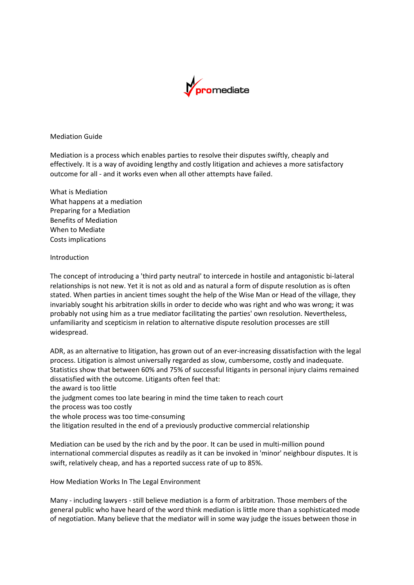

**Mediation Guide** 

Mediation is a process which enables parties to resolve their disputes swiftly, cheaply and effectively. It is a way of avoiding lengthy and costly litigation and achieves a more satisfactory outcome for all - and it works even when all other attempts have failed.

What is Mediation What happens at a mediation Preparing for a Mediation Benefits of Mediation When to Mediate Costs implications

### Introduction

The concept of introducing a 'third party neutral' to intercede in hostile and antagonistic bi-lateral relationships is not new. Yet it is not as old and as natural a form of dispute resolution as is often stated. When parties in ancient times sought the help of the Wise Man or Head of the village, they invariably sought his arbitration skills in order to decide who was right and who was wrong; it was probably not using him as a true mediator facilitating the parties' own resolution. Nevertheless, unfamiliarity and scepticism in relation to alternative dispute resolution processes are still widespread.

ADR, as an alternative to litigation, has grown out of an ever-increasing dissatisfaction with the legal process. Litigation is almost universally regarded as slow, cumbersome, costly and inadequate. Statistics show that between 60% and 75% of successful litigants in personal injury claims remained dissatisfied with the outcome. Litigants often feel that: the award is too little the judgment comes too late bearing in mind the time taken to reach court the process was too costly the whole process was too time-consuming the litigation resulted in the end of a previously productive commercial relationship Mediation can be used by the rich and by the poor. It can be used in multi-million pound

international commercial disputes as readily as it can be invoked in 'minor' neighbour disputes. It is swift, relatively cheap, and has a reported success rate of up to 85%.

How Mediation Works In The Legal Environment

Many - including lawyers - still believe mediation is a form of arbitration. Those members of the general public who have heard of the word think mediation is little more than a sophisticated mode of negotiation. Many believe that the mediator will in some way judge the issues between those in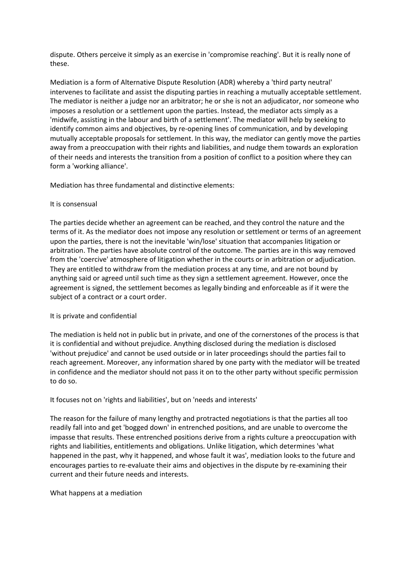dispute. Others perceive it simply as an exercise in 'compromise reaching'. But it is really none of these.

Mediation is a form of Alternative Dispute Resolution (ADR) whereby a 'third party neutral' intervenes to facilitate and assist the disputing parties in reaching a mutually acceptable settlement. The mediator is neither a judge nor an arbitrator; he or she is not an adjudicator, nor someone who imposes a resolution or a settlement upon the parties. Instead, the mediator acts simply as a 'midwife, assisting in the labour and birth of a settlement'. The mediator will help by seeking to identify common aims and objectives, by re-opening lines of communication, and by developing mutually acceptable proposals for settlement. In this way, the mediator can gently move the parties away from a preoccupation with their rights and liabilities, and nudge them towards an exploration of their needs and interests the transition from a position of conflict to a position where they can form a 'working alliance'.

Mediation has three fundamental and distinctive elements:

## It is consensual

The parties decide whether an agreement can be reached, and they control the nature and the terms of it. As the mediator does not impose any resolution or settlement or terms of an agreement upon the parties, there is not the inevitable 'win/lose' situation that accompanies litigation or arbitration. The parties have absolute control of the outcome. The parties are in this way removed from the 'coercive' atmosphere of litigation whether in the courts or in arbitration or adjudication. They are entitled to withdraw from the mediation process at any time, and are not bound by anything said or agreed until such time as they sign a settlement agreement. However, once the agreement is signed, the settlement becomes as legally binding and enforceable as if it were the subject of a contract or a court order.

## It is private and confidential

The mediation is held not in public but in private, and one of the cornerstones of the process is that it is confidential and without prejudice. Anything disclosed during the mediation is disclosed 'without prejudice' and cannot be used outside or in later proceedings should the parties fail to reach agreement. Moreover, any information shared by one party with the mediator will be treated in confidence and the mediator should not pass it on to the other party without specific permission to do so.

It focuses not on 'rights and liabilities', but on 'needs and interests'

The reason for the failure of many lengthy and protracted negotiations is that the parties all too readily fall into and get 'bogged down' in entrenched positions, and are unable to overcome the impasse that results. These entrenched positions derive from a rights culture a preoccupation with rights and liabilities, entitlements and obligations. Unlike litigation, which determines 'what happened in the past, why it happened, and whose fault it was', mediation looks to the future and encourages parties to re-evaluate their aims and objectives in the dispute by re-examining their current and their future needs and interests.

What happens at a mediation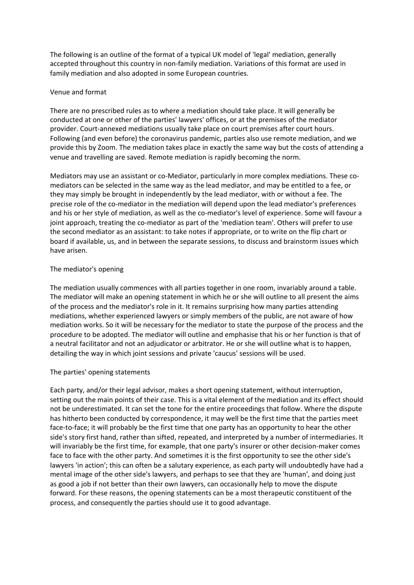The following is an outline of the format of a typical UK model of 'legal' mediation, generally accepted throughout this country in non-family mediation. Variations of this format are used in family mediation and also adopted in some European countries.

## Venue and format

There are no prescribed rules as to where a mediation should take place. It will generally be conducted at one or other of the parties' lawyers' offices, or at the premises of the mediator provider. Court-annexed mediations usually take place on court premises after court hours. Following (and even before) the coronavirus pandemic, parties also use remote mediation, and we provide this by Zoom. The mediation takes place in exactly the same way but the costs of attending a venue and travelling are saved. Remote mediation is rapidly becoming the norm.

Mediators may use an assistant or co-Mediator, particularly in more complex mediations. These comediators can be selected in the same way as the lead mediator, and may be entitled to a fee, or they may simply be brought in independently by the lead mediator, with or without a fee. The precise role of the co-mediator in the mediation will depend upon the lead mediator's preferences and his or her style of mediation, as well as the co-mediator's level of experience. Some will favour a joint approach, treating the co-mediator as part of the 'mediation team'. Others will prefer to use the second mediator as an assistant: to take notes if appropriate, or to write on the flip chart or board if available, us, and in between the separate sessions, to discuss and brainstorm issues which have arisen.

# The mediator's opening

The mediation usually commences with all parties together in one room, invariably around a table. The mediator will make an opening statement in which he or she will outline to all present the aims of the process and the mediator's role in it. It remains surprising how many parties attending mediations, whether experienced lawyers or simply members of the public, are not aware of how mediation works. So it will be necessary for the mediator to state the purpose of the process and the procedure to be adopted. The mediator will outline and emphasise that his or her function is that of a neutral facilitator and not an adjudicator or arbitrator. He or she will outline what is to happen, detailing the way in which joint sessions and private 'caucus' sessions will be used.

## The parties' opening statements

Each party, and/or their legal advisor, makes a short opening statement, without interruption, setting out the main points of their case. This is a vital element of the mediation and its effect should not be underestimated. It can set the tone for the entire proceedings that follow. Where the dispute has hitherto been conducted by correspondence, it may well be the first time that the parties meet face-to-face; it will probably be the first time that one party has an opportunity to hear the other side's story first hand, rather than sifted, repeated, and interpreted by a number of intermediaries. It will invariably be the first time, for example, that one party's insurer or other decision-maker comes face to face with the other party. And sometimes it is the first opportunity to see the other side's lawyers 'in action'; this can often be a salutary experience, as each party will undoubtedly have had a mental image of the other side's lawyers, and perhaps to see that they are 'human', and doing just as good a job if not better than their own lawyers, can occasionally help to move the dispute forward. For these reasons, the opening statements can be a most therapeutic constituent of the process, and consequently the parties should use it to good advantage.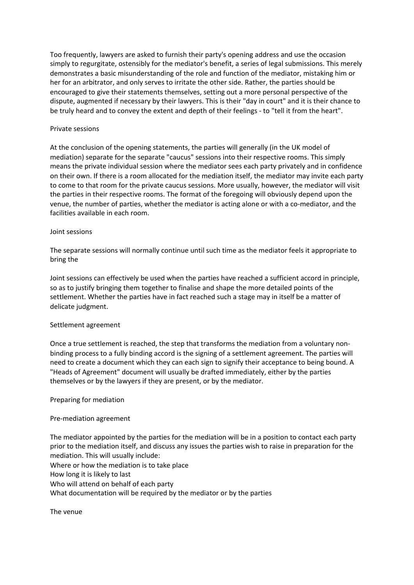Too frequently, lawyers are asked to furnish their party's opening address and use the occasion simply to regurgitate, ostensibly for the mediator's benefit, a series of legal submissions. This merely demonstrates a basic misunderstanding of the role and function of the mediator, mistaking him or her for an arbitrator, and only serves to irritate the other side. Rather, the parties should be encouraged to give their statements themselves, setting out a more personal perspective of the dispute, augmented if necessary by their lawyers. This is their "day in court" and it is their chance to be truly heard and to convey the extent and depth of their feelings - to "tell it from the heart".

## Private sessions

At the conclusion of the opening statements, the parties will generally (in the UK model of mediation) separate for the separate "caucus" sessions into their respective rooms. This simply means the private individual session where the mediator sees each party privately and in confidence on their own. If there is a room allocated for the mediation itself, the mediator may invite each party to come to that room for the private caucus sessions. More usually, however, the mediator will visit the parties in their respective rooms. The format of the foregoing will obviously depend upon the venue, the number of parties, whether the mediator is acting alone or with a co-mediator, and the facilities available in each room.

## Joint sessions

The separate sessions will normally continue until such time as the mediator feels it appropriate to bring the

Joint sessions can effectively be used when the parties have reached a sufficient accord in principle, so as to justify bringing them together to finalise and shape the more detailed points of the settlement. Whether the parties have in fact reached such a stage may in itself be a matter of delicate judgment.

## Settlement agreement

Once a true settlement is reached, the step that transforms the mediation from a voluntary nonbinding process to a fully binding accord is the signing of a settlement agreement. The parties will need to create a document which they can each sign to signify their acceptance to being bound. A "Heads of Agreement" document will usually be drafted immediately, either by the parties themselves or by the lawyers if they are present, or by the mediator.

## Preparing for mediation

## Pre-mediation agreement

The mediator appointed by the parties for the mediation will be in a position to contact each party prior to the mediation itself, and discuss any issues the parties wish to raise in preparation for the mediation. This will usually include:

Where or how the mediation is to take place How long it is likely to last Who will attend on behalf of each party What documentation will be required by the mediator or by the parties

The venue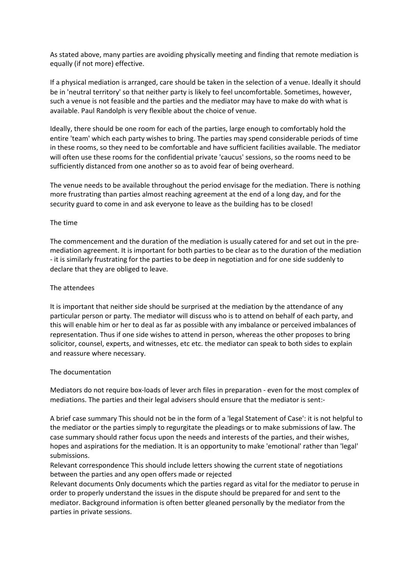As stated above, many parties are avoiding physically meeting and finding that remote mediation is equally (if not more) effective.

If a physical mediation is arranged, care should be taken in the selection of a venue. Ideally it should be in 'neutral territory' so that neither party is likely to feel uncomfortable. Sometimes, however, such a venue is not feasible and the parties and the mediator may have to make do with what is available. Paul Randolph is very flexible about the choice of venue.

Ideally, there should be one room for each of the parties, large enough to comfortably hold the entire 'team' which each party wishes to bring. The parties may spend considerable periods of time in these rooms, so they need to be comfortable and have sufficient facilities available. The mediator will often use these rooms for the confidential private 'caucus' sessions, so the rooms need to be sufficiently distanced from one another so as to avoid fear of being overheard.

The venue needs to be available throughout the period envisage for the mediation. There is nothing more frustrating than parties almost reaching agreement at the end of a long day, and for the security guard to come in and ask everyone to leave as the building has to be closed!

### The time

The commencement and the duration of the mediation is usually catered for and set out in the premediation agreement. It is important for both parties to be clear as to the duration of the mediation - it is similarly frustrating for the parties to be deep in negotiation and for one side suddenly to declare that they are obliged to leave.

### The attendees

It is important that neither side should be surprised at the mediation by the attendance of any particular person or party. The mediator will discuss who is to attend on behalf of each party, and this will enable him or her to deal as far as possible with any imbalance or perceived imbalances of representation. Thus if one side wishes to attend in person, whereas the other proposes to bring solicitor, counsel, experts, and witnesses, etc etc. the mediator can speak to both sides to explain and reassure where necessary.

#### The documentation

Mediators do not require box-loads of lever arch files in preparation - even for the most complex of mediations. The parties and their legal advisers should ensure that the mediator is sent:-

A brief case summary This should not be in the form of a 'legal Statement of Case': it is not helpful to the mediator or the parties simply to regurgitate the pleadings or to make submissions of law. The case summary should rather focus upon the needs and interests of the parties, and their wishes, hopes and aspirations for the mediation. It is an opportunity to make 'emotional' rather than 'legal' submissions.

Relevant correspondence This should include letters showing the current state of negotiations between the parties and any open offers made or rejected

Relevant documents Only documents which the parties regard as vital for the mediator to peruse in order to properly understand the issues in the dispute should be prepared for and sent to the mediator. Background information is often better gleaned personally by the mediator from the parties in private sessions.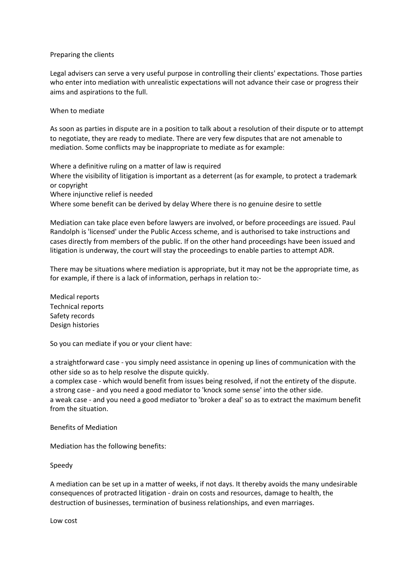### Preparing the clients

Legal advisers can serve a very useful purpose in controlling their clients' expectations. Those parties who enter into mediation with unrealistic expectations will not advance their case or progress their aims and aspirations to the full.

### When to mediate

As soon as parties in dispute are in a position to talk about a resolution of their dispute or to attempt to negotiate, they are ready to mediate. There are very few disputes that are not amenable to mediation. Some conflicts may be inappropriate to mediate as for example:

Where a definitive ruling on a matter of law is required Where the visibility of litigation is important as a deterrent (as for example, to protect a trademark or copyright Where injunctive relief is needed Where some benefit can be derived by delay Where there is no genuine desire to settle

Mediation can take place even before lawyers are involved, or before proceedings are issued. Paul Randolph is 'licensed' under the Public Access scheme, and is authorised to take instructions and cases directly from members of the public. If on the other hand proceedings have been issued and litigation is underway, the court will stay the proceedings to enable parties to attempt ADR.

There may be situations where mediation is appropriate, but it may not be the appropriate time, as for example, if there is a lack of information, perhaps in relation to:-

Medical reports Technical reports Safety records Design histories

So you can mediate if you or your client have:

a straightforward case - you simply need assistance in opening up lines of communication with the other side so as to help resolve the dispute quickly.

a complex case - which would benefit from issues being resolved, if not the entirety of the dispute. a strong case - and you need a good mediator to 'knock some sense' into the other side.

a weak case - and you need a good mediator to 'broker a deal' so as to extract the maximum benefit from the situation.

Benefits of Mediation

Mediation has the following benefits:

Speedy

A mediation can be set up in a matter of weeks, if not days. It thereby avoids the many undesirable consequences of protracted litigation - drain on costs and resources, damage to health, the destruction of businesses, termination of business relationships, and even marriages.

Low cost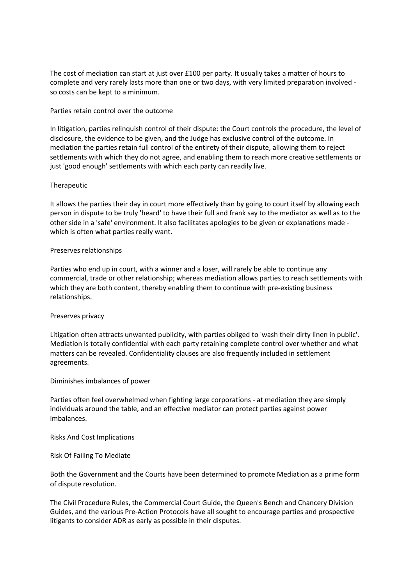The cost of mediation can start at just over  $£100$  per party. It usually takes a matter of hours to complete and very rarely lasts more than one or two days, with very limited preparation involved so costs can be kept to a minimum.

## Parties retain control over the outcome

In litigation, parties relinquish control of their dispute: the Court controls the procedure, the level of disclosure, the evidence to be given, and the Judge has exclusive control of the outcome. In mediation the parties retain full control of the entirety of their dispute, allowing them to reject settlements with which they do not agree, and enabling them to reach more creative settlements or just 'good enough' settlements with which each party can readily live.

## Therapeutic

It allows the parties their day in court more effectively than by going to court itself by allowing each person in dispute to be truly 'heard' to have their full and frank say to the mediator as well as to the other side in a 'safe' environment. It also facilitates apologies to be given or explanations made which is often what parties really want.

### Preserves relationships

Parties who end up in court, with a winner and a loser, will rarely be able to continue any commercial, trade or other relationship; whereas mediation allows parties to reach settlements with which they are both content, thereby enabling them to continue with pre-existing business relationships.

## Preserves privacy

Litigation often attracts unwanted publicity, with parties obliged to 'wash their dirty linen in public'. Mediation is totally confidential with each party retaining complete control over whether and what matters can be revealed. Confidentiality clauses are also frequently included in settlement agreements.

### Diminishes imbalances of power

Parties often feel overwhelmed when fighting large corporations - at mediation they are simply individuals around the table, and an effective mediator can protect parties against power imbalances.

#### Risks And Cost Implications

Risk Of Failing To Mediate

Both the Government and the Courts have been determined to promote Mediation as a prime form of dispute resolution.

The Civil Procedure Rules, the Commercial Court Guide, the Queen's Bench and Chancery Division Guides, and the various Pre-Action Protocols have all sought to encourage parties and prospective litigants to consider ADR as early as possible in their disputes.